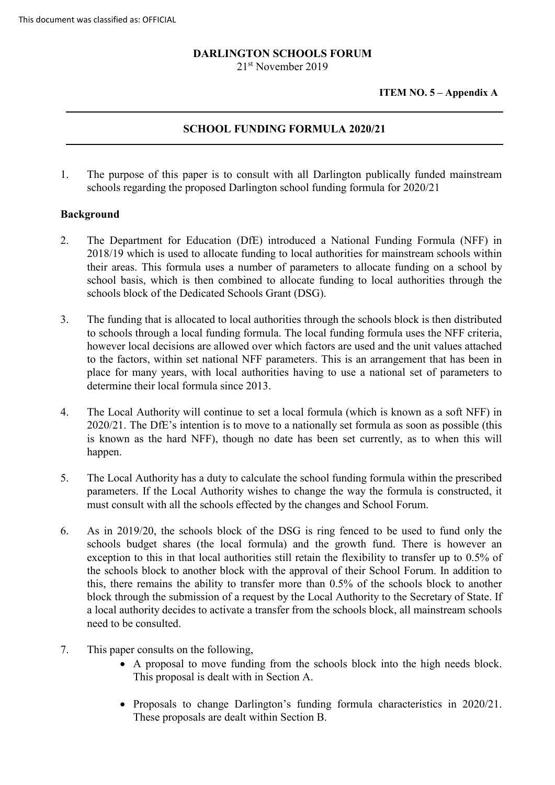# **DARLINGTON SCHOOLS FORUM**

21<sup>st</sup> November 2019

**ITEM NO. 5 – Appendix A**

## **SCHOOL FUNDING FORMULA 2020/21**

1. The purpose of this paper is to consult with all Darlington publically funded mainstream schools regarding the proposed Darlington school funding formula for 2020/21

### **Background**

- 2. The Department for Education (DfE) introduced a National Funding Formula (NFF) in 2018/19 which is used to allocate funding to local authorities for mainstream schools within their areas. This formula uses a number of parameters to allocate funding on a school by school basis, which is then combined to allocate funding to local authorities through the schools block of the Dedicated Schools Grant (DSG).
- 3. The funding that is allocated to local authorities through the schools block is then distributed to schools through a local funding formula. The local funding formula uses the NFF criteria, however local decisions are allowed over which factors are used and the unit values attached to the factors, within set national NFF parameters. This is an arrangement that has been in place for many years, with local authorities having to use a national set of parameters to determine their local formula since 2013.
- 4. The Local Authority will continue to set a local formula (which is known as a soft NFF) in 2020/21. The DfE's intention is to move to a nationally set formula as soon as possible (this is known as the hard NFF), though no date has been set currently, as to when this will happen.
- 5. The Local Authority has a duty to calculate the school funding formula within the prescribed parameters. If the Local Authority wishes to change the way the formula is constructed, it must consult with all the schools effected by the changes and School Forum.
- 6. As in 2019/20, the schools block of the DSG is ring fenced to be used to fund only the schools budget shares (the local formula) and the growth fund. There is however an exception to this in that local authorities still retain the flexibility to transfer up to 0.5% of the schools block to another block with the approval of their School Forum. In addition to this, there remains the ability to transfer more than 0.5% of the schools block to another block through the submission of a request by the Local Authority to the Secretary of State. If a local authority decides to activate a transfer from the schools block, all mainstream schools need to be consulted.
- 7. This paper consults on the following,
	- A proposal to move funding from the schools block into the high needs block. This proposal is dealt with in Section A.
	- Proposals to change Darlington's funding formula characteristics in 2020/21. These proposals are dealt within Section B.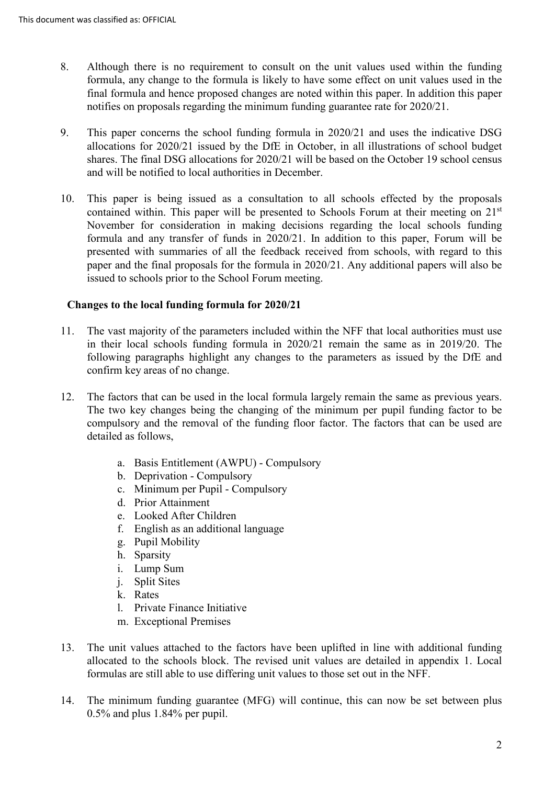- 8. Although there is no requirement to consult on the unit values used within the funding formula, any change to the formula is likely to have some effect on unit values used in the final formula and hence proposed changes are noted within this paper. In addition this paper notifies on proposals regarding the minimum funding guarantee rate for 2020/21.
- 9. This paper concerns the school funding formula in 2020/21 and uses the indicative DSG allocations for 2020/21 issued by the DfE in October, in all illustrations of school budget shares. The final DSG allocations for 2020/21 will be based on the October 19 school census and will be notified to local authorities in December.
- 10. This paper is being issued as a consultation to all schools effected by the proposals contained within. This paper will be presented to Schools Forum at their meeting on 21<sup>st</sup> November for consideration in making decisions regarding the local schools funding formula and any transfer of funds in 2020/21. In addition to this paper, Forum will be presented with summaries of all the feedback received from schools, with regard to this paper and the final proposals for the formula in 2020/21. Any additional papers will also be issued to schools prior to the School Forum meeting.

## **Changes to the local funding formula for 2020/21**

- 11. The vast majority of the parameters included within the NFF that local authorities must use in their local schools funding formula in 2020/21 remain the same as in 2019/20. The following paragraphs highlight any changes to the parameters as issued by the DfE and confirm key areas of no change.
- 12. The factors that can be used in the local formula largely remain the same as previous years. The two key changes being the changing of the minimum per pupil funding factor to be compulsory and the removal of the funding floor factor. The factors that can be used are detailed as follows,
	- a. Basis Entitlement (AWPU) Compulsory
	- b. Deprivation Compulsory
	- c. Minimum per Pupil Compulsory
	- d. Prior Attainment
	- e. Looked After Children
	- f. English as an additional language
	- g. Pupil Mobility
	- h. Sparsity
	- i. Lump Sum
	- j. Split Sites
	- k. Rates
	- l. Private Finance Initiative
	- m. Exceptional Premises
- 13. The unit values attached to the factors have been uplifted in line with additional funding allocated to the schools block. The revised unit values are detailed in appendix 1. Local formulas are still able to use differing unit values to those set out in the NFF.
- 14. The minimum funding guarantee (MFG) will continue, this can now be set between plus 0.5% and plus 1.84% per pupil.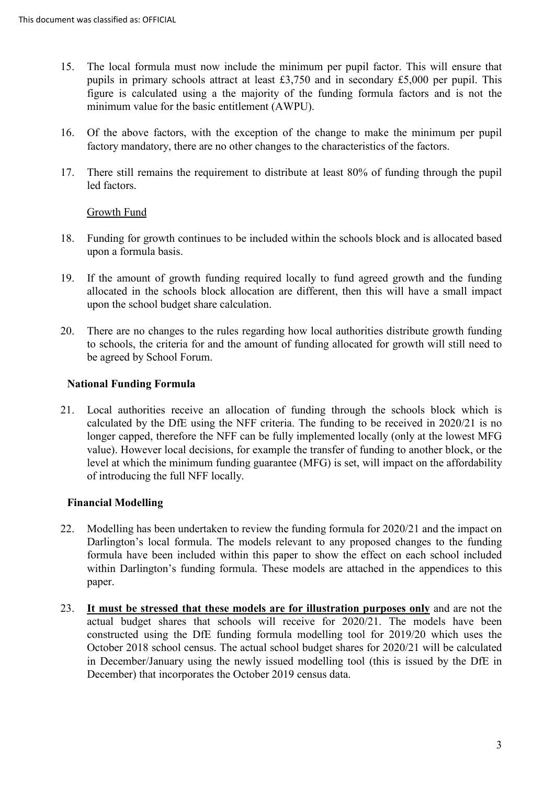- 15. The local formula must now include the minimum per pupil factor. This will ensure that pupils in primary schools attract at least £3,750 and in secondary £5,000 per pupil. This figure is calculated using a the majority of the funding formula factors and is not the minimum value for the basic entitlement (AWPU).
- 16. Of the above factors, with the exception of the change to make the minimum per pupil factory mandatory, there are no other changes to the characteristics of the factors.
- 17. There still remains the requirement to distribute at least 80% of funding through the pupil led factors.

### Growth Fund

- 18. Funding for growth continues to be included within the schools block and is allocated based upon a formula basis.
- 19. If the amount of growth funding required locally to fund agreed growth and the funding allocated in the schools block allocation are different, then this will have a small impact upon the school budget share calculation.
- 20. There are no changes to the rules regarding how local authorities distribute growth funding to schools, the criteria for and the amount of funding allocated for growth will still need to be agreed by School Forum.

## **National Funding Formula**

21. Local authorities receive an allocation of funding through the schools block which is calculated by the DfE using the NFF criteria. The funding to be received in 2020/21 is no longer capped, therefore the NFF can be fully implemented locally (only at the lowest MFG value). However local decisions, for example the transfer of funding to another block, or the level at which the minimum funding guarantee (MFG) is set, will impact on the affordability of introducing the full NFF locally.

## **Financial Modelling**

- 22. Modelling has been undertaken to review the funding formula for 2020/21 and the impact on Darlington's local formula. The models relevant to any proposed changes to the funding formula have been included within this paper to show the effect on each school included within Darlington's funding formula. These models are attached in the appendices to this paper.
- 23. **It must be stressed that these models are for illustration purposes only** and are not the actual budget shares that schools will receive for 2020/21. The models have been constructed using the DfE funding formula modelling tool for 2019/20 which uses the October 2018 school census. The actual school budget shares for 2020/21 will be calculated in December/January using the newly issued modelling tool (this is issued by the DfE in December) that incorporates the October 2019 census data.